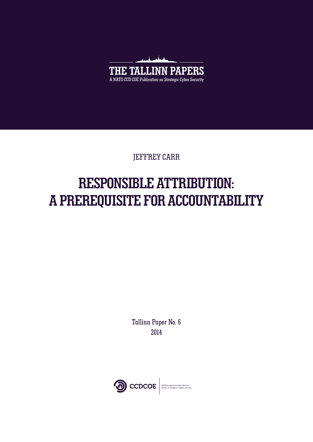

JEFFREY CARR

# **RESPONSIBLE ATTRIBUTION: A PREREQUISITE FOR ACCOUNTABILITY**

Tallinn Paper No. 6 2014

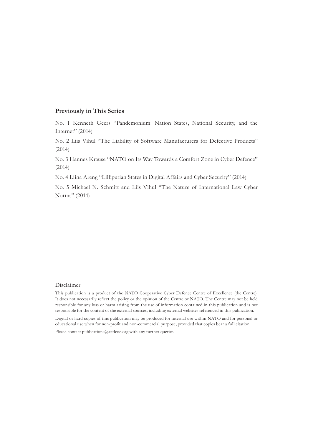#### **Previously in This Series**

No. 1 Kenneth Geers "Pandemonium: Nation States, National Security, and the Internet" (2014)

No. 2 Liis Vihul "The Liability of Software Manufacturers for Defective Products" (2014)

No. 3 Hannes Krause "NATO on Its Way Towards a Comfort Zone in Cyber Defence" (2014)

No. 4 Liina Areng "Lilliputian States in Digital Affairs and Cyber Security" (2014)

No. 5 Michael N. Schmitt and Liis Vihul "The Nature of International Law Cyber Norms" (2014)

#### Disclaimer

This publication is a product of the NATO Cooperative Cyber Defence Centre of Excellence (the Centre). It does not necessarily reflect the policy or the opinion of the Centre or NATO. The Centre may not be held responsible for any loss or harm arising from the use of information contained in this publication and is not responsible for the content of the external sources, including external websites referenced in this publication.

Digital or hard copies of this publication may be produced for internal use within NATO and for personal or educational use when for non-profit and non-commercial purpose, provided that copies bear a full citation.

Please contact [publications@ccdcoe.org](mailto:publications@ccdcoe.org) with any further queries.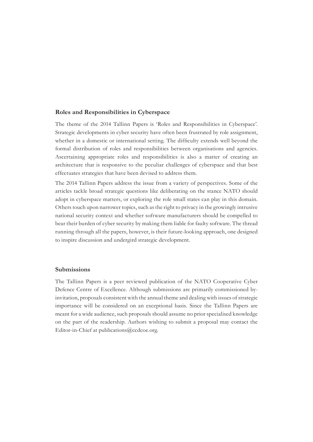#### **Roles and Responsibilities in Cyberspace**

The theme of the 2014 Tallinn Papers is 'Roles and Responsibilities in Cyberspace'. Strategic developments in cyber security have often been frustrated by role assignment, whether in a domestic or international setting. The difficulty extends well beyond the formal distribution of roles and responsibilities between organisations and agencies. Ascertaining appropriate roles and responsibilities is also a matter of creating an architecture that is responsive to the peculiar challenges of cyberspace and that best effectuates strategies that have been devised to address them.

The 2014 Tallinn Papers address the issue from a variety of perspectives. Some of the articles tackle broad strategic questions like deliberating on the stance NATO should adopt in cyberspace matters, or exploring the role small states can play in this domain. Others touch upon narrower topics, such as the right to privacy in the growingly intrusive national security context and whether software manufacturers should be compelled to bear their burden of cyber security by making them liable for faulty software. The thread running through all the papers, however, is their future-looking approach, one designed to inspire discussion and undergird strategic development.

#### **Submissions**

The Tallinn Papers is a peer reviewed publication of the NATO Cooperative Cyber Defence Centre of Excellence. Although submissions are primarily commissioned byinvitation, proposals consistent with the annual theme and dealing with issues of strategic importance will be considered on an exceptional basis. Since the Tallinn Papers are meant for a wide audience, such proposals should assume no prior specialised knowledge on the part of the readership. Authors wishing to submit a proposal may contact the Editor-in-Chief at [publications@ccdcoe.org.](mailto:publications@ccdcoe.org)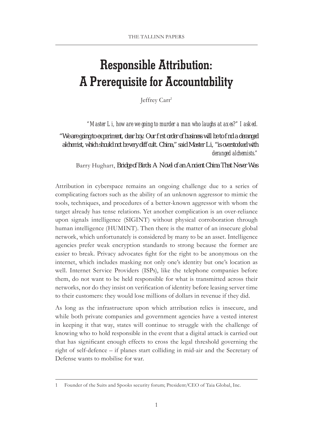## **Responsible Attribution: A Prerequisite for Accountability**

Jeffrey Carr1

 *"Master Li, how are we going to murder a man who laughs at axes?" I asked.*

*"We are going to experiment, dear boy. Our first order of business will be to find a deranged*  aldremist, which should not be very difficult. China," said Master Li, "is overstocked with *deranged alchemists."* 

Barry Hughart, *Bridged Birds A Novel of an A noiert China That Never Was* 

Attribution in cyberspace remains an ongoing challenge due to a series of complicating factors such as the ability of an unknown aggressor to mimic the tools, techniques, and procedures of a better-known aggressor with whom the target already has tense relations. Yet another complication is an over-reliance upon signals intelligence (SIGINT) without physical corroboration through human intelligence (HUMINT). Then there is the matter of an insecure global network, which unfortunately is considered by many to be an asset. Intelligence agencies prefer weak encryption standards to strong because the former are easier to break. Privacy advocates fight for the right to be anonymous on the internet, which includes masking not only one's identity but one's location as well. Internet Service Providers (ISPs), like the telephone companies before them, do not want to be held responsible for what is transmitted across their networks, nor do they insist on verification of identity before leasing server time to their customers: they would lose millions of dollars in revenue if they did.

As long as the infrastructure upon which attribution relies is insecure, and while both private companies and government agencies have a vested interest in keeping it that way, states will continue to struggle with the challenge of knowing who to hold responsible in the event that a digital attack is carried out that has significant enough effects to cross the legal threshold governing the right of self-defence – if planes start colliding in mid-air and the Secretary of Defense wants to mobilise for war.

<sup>1</sup> Founder of the Suits and Spooks security forum; President/CEO of Taia Global, Inc.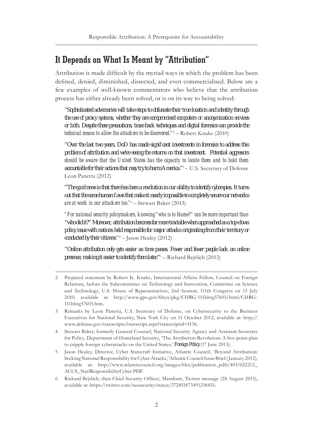### **It Depends on What Is Meant by "Attribution"**

Attribution is made difficult by the myriad ways in which the problem has been defined, denied, diminished, dissected, and even commercialised. Below are a few examples of well-known commentators who believe that the attribution process has either already been solved, or is on its way to being solved:

*"Sophisticated adversaries will take steps to obfuscate their true location and identity through the use of proxy systems, whether they are compromised computers or anonymization services or both. Despite these precautions, trace back techniques and digital forensics can provide the technical means to allow the attackers to be discovered."*<sup>2</sup> – Robert Knake (2010)

*"Over the last two years, DoD has made significant investments in forensics to address this problem of attribution and we're seeing the returns on that investment. Potential aggressors should be aware that the United States has the capacity to locate them and to hold them accountable for their actions that may try to harm America."*<sup>3</sup>  *–* U.S. Secretary of Defense Leon Panetta (2012)

*"The good news is that there has been a revolution in our ability to identify cyberspies. It turns out that the same human flaws that make it nearly impossible to completely secure our networks are at work in our attackers too."*<sup>4</sup> – Stewart Baker (2013)

*"For national security policymakers, knowing "who is to blame?" can be more important than "who did it?" Moreover, attribution becomes far more tractable when approached as a top-down policy issue with nations held responsible for major attacks originating from their territory or conducted by their citizens*."5 – Jason Healey (2012)

*"Online attribution only gets easier as time passes. Fewer and fewer people lack an online presence, making it easier to identify them later."*<sup>6</sup> – Richard Bejtlich (2013)

<sup>2</sup> Prepared statement by Robert K. Knake, International Affairs Fellow, Council on Foreign Relations, before the Subcommittee on Technology and Innovation, Committee on Science and Technology, U.S. House of Representatives, 2nd Session, 111th Congress on 15 July 2010, available at: [http://www.gpo.gov/fdsys/pkg/CHRG-111hhrg57603/html/CHRG-](http://www.gpo.gov/fdsys/pkg/CHRG-111hhrg57603/html/CHRG-111hhrg57603.htm)[111hhrg57603.htm.](http://www.gpo.gov/fdsys/pkg/CHRG-111hhrg57603/html/CHRG-111hhrg57603.htm)

<sup>3</sup> Remarks by Leon Panetta, U.S. Secretary of Defense, on Cybersecurity to the Business Executives for National Security, New York City on 11 October 2012, available at: [http://](http://www.defense.gov/transcripts/transcript.aspx?transcriptid=5136) [www.defense.gov/transcripts/transcript.aspx?transcriptid=5136](http://www.defense.gov/transcripts/transcript.aspx?transcriptid=5136).

<sup>4</sup> Stewart Baker, formerly General Counsel, National Security Agency and Assistant Secretary for Policy, Department of Homeland Security, 'The Attribution Revolution: A five-point plan to cripple foreign cyberattacks on the United States,' *Foreign Policy* (17 June 2013).

<sup>5</sup> Jason Healey, Director, Cyber Statecraft Initiative, Atlantic Council, 'Beyond Attribution: Seeking National Responsibility for Cyber Attacks,' Atlantic Council Issue Brief (January 2012), available at: [http://www.atlanticcouncil.org/images/files/publication\\_pdfs/403/022212\\_](http://www.atlanticcouncil.org/images/files/publication_pdfs/403/022212_ACUS_NatlResponsibilityCyber.PDF) [ACUS\\_NatlResponsibilityCyber.PDF](http://www.atlanticcouncil.org/images/files/publication_pdfs/403/022212_ACUS_NatlResponsibilityCyber.PDF).

<sup>6</sup> Richard Bejtlich, then Chief Security Officer, Mandiant, Twitter message (28 August 2013), available at: <https://twitter.com/taosecurity/status/372851873491218433>.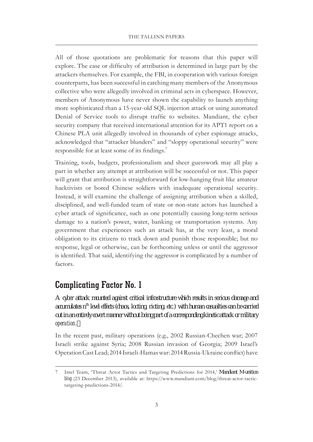All of those quotations are problematic for reasons that this paper will explore. The ease or difficulty of attribution is determined in large part by the attackers themselves. For example, the FBI, in cooperation with various foreign counterparts, has been successful in catching many members of the Anonymous collective who were allegedly involved in criminal acts in cyberspace. However, members of Anonymous have never shown the capability to launch anything more sophisticated than a 15-year-old SQL injection attack or using automated Denial of Service tools to disrupt traffic to websites. Mandiant, the cyber security company that received international attention for its APT1 report on a Chinese PLA unit allegedly involved in thousands of cyber espionage attacks, acknowledged that "attacker blunders" and "sloppy operational security" were responsible for at least some of its findings.<sup>7</sup>

Training, tools, budgets, professionalism and sheer guesswork may all play a part in whether any attempt at attribution will be successful or not. This paper will grant that attribution is straightforward for low-hanging fruit like amateur hacktivists or bored Chinese soldiers with inadequate operational security. Instead, it will examine the challenge of assigning attribution when a skilled, disciplined, and well-funded team of state or non-state actors has launched a cyber attack of significance, such as one potentially causing long-term serious damage to a nation's power, water, banking or transportation systems. Any government that experiences such an attack has, at the very least, a moral obligation to its citizens to track down and punish those responsible; but no response, legal or otherwise, can be forthcoming unless or until the aggressor is identified. That said, identifying the aggressor is complicated by a number of factors.

### **Complicating Factor No. 1**

*A cyber attack mounted against critical infrastructure which results in serious damage and accumulates nth level effects (chaos, looting, rioting, etc.) with human casualties can be carried out in an entirely covert manner without being part of a corresponding kinetic attack or military operation.*

In the recent past, military operations (e.g., 2002 Russian-Chechen war; 2007 Israeli strike against Syria; 2008 Russian invasion of Georgia; 2009 Israel's Operation Cast Lead; 2014 Israeli-Hamas war: 2014 Russia-Ukraine conflict) have

<sup>7</sup> Intel Team, 'Threat Actor Tactics and Targeting Predictions for 2014,' *Mandiant M-unition blog* (23 December 2013), available at: [https://www.mandiant.com/blog/threat-actor-tactic](https://www.mandiant.com/blog/threat-actor-tactic-targeting-predictions-2014/)[targeting-predictions-2014/](https://www.mandiant.com/blog/threat-actor-tactic-targeting-predictions-2014/).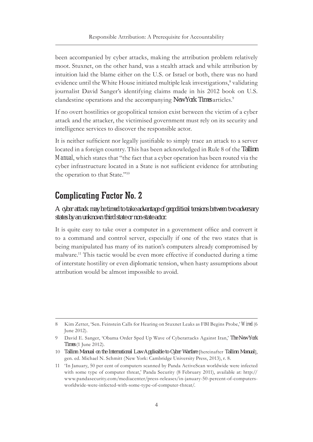been accompanied by cyber attacks, making the attribution problem relatively moot. Stuxnet, on the other hand, was a stealth attack and while attribution by intuition laid the blame either on the U.S. or Israel or both, there was no hard evidence until the White House initiated multiple leak investigations,<sup>8</sup> validating journalist David Sanger's identifying claims made in his 2012 book on U.S. clandestine operations and the accompanying *NewYork Timesarticles*.<sup>9</sup>

If no overt hostilities or geopolitical tension exist between the victim of a cyber attack and the attacker, the victimised government must rely on its security and intelligence services to discover the responsible actor.

It is neither sufficient nor legally justifiable to simply trace an attack to a server located in a foreign country. This has been acknowledged in Rule 8 of the *Tallinn Manual*, which states that "the fact that a cyber operation has been routed via the cyber infrastructure located in a State is not sufficient evidence for attributing the operation to that State."10

### **Complicating Factor No. 2**

#### *A cyber attack may be timed to take advantage of geopolitical tensions between two adversary states by an unknown third state or non-state actor.*

It is quite easy to take over a computer in a government office and convert it to a command and control server, especially if one of the two states that is being manipulated has many of its nation's computers already compromised by malware.11 This tactic would be even more effective if conducted during a time of interstate hostility or even diplomatic tension, when hasty assumptions about attribution would be almost impossible to avoid.

<sup>8</sup> Kim Zetter, 'Sen. Feinstein Calls for Hearing on Stuxnet Leaks as FBI Begins Probe,' *Wired* (6 June 2012).

<sup>9</sup> David E. Sanger, 'Obama Order Sped Up Wave of Cyberattacks Against Iran,' *The New York Times* (1 June 2012).

<sup>10</sup> *Tallinn Manual on the International Law Applicable to Cyber Warfare* [hereinafter *Tallinn Manual*], gen. ed. Michael N. Schmitt (New York: Cambridge University Press, 2013), r. 8.

<sup>11</sup> 'In January, 50 per cent of computers scanned by Panda ActiveScan worldwide were infected with some type of computer threat,' Panda Security (8 February 2011), available at: [http://](http://www.pandasecurity.com/mediacenter/press-releases/in-january-50-percent-of-computers-worldwide-were-infected-with-some-type-of-computer-threat/) [www.pandasecurity.com/mediacenter/press-releases/in-january-50-percent-of-computers](http://www.pandasecurity.com/mediacenter/press-releases/in-january-50-percent-of-computers-worldwide-were-infected-with-some-type-of-computer-threat/)[worldwide-were-infected-with-some-type-of-computer-threat/](http://www.pandasecurity.com/mediacenter/press-releases/in-january-50-percent-of-computers-worldwide-were-infected-with-some-type-of-computer-threat/).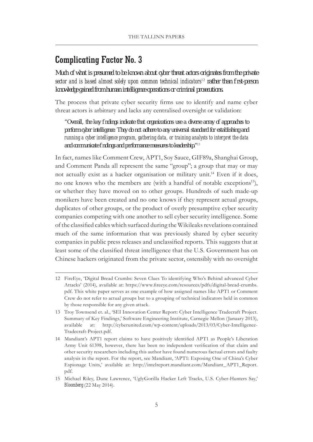### **Complicating Factor No. 3**

*Much of what is presumed to be known about cyber threat actors originates from the private sector and is based almost solely upon common technical indicators*<sup>12</sup> *rather than first-person knowledge gained from human intelligence operations or criminal prosecutions.*

The process that private cyber security firms use to identify and name cyber threat actors is arbitrary and lacks any centralised oversight or validation:

*"Overall, the key findings indicate that organizations use a diverse array of approaches to perform cyber intelligence. They do not adhere to any universal standard for establishing and running a cyber intelligence program, gathering data, or training analysts to interpret the data and communicate findings and performance measures to leadership."*<sup>13</sup>

In fact, names like Comment Crew, APT1, Soy Sauce, GIF89a, Shanghai Group, and Comment Panda all represent the same "group"; a group that may or may not actually exist as a hacker organisation or military unit.14 Even if it does, no one knows who the members are (with a handful of notable exceptions<sup>15</sup>), or whether they have moved on to other groups. Hundreds of such made-up monikers have been created and no one knows if they represent actual groups, duplicates of other groups, or the product of overly presumptive cyber security companies competing with one another to sell cyber security intelligence. Some of the classified cables which surfaced during the Wikileaks revelations contained much of the same information that was previously shared by cyber security companies in public press releases and unclassified reports. This suggests that at least some of the classified threat intelligence that the U.S. Government has on Chinese hackers originated from the private sector, ostensibly with no oversight

<sup>12</sup> FireEye, 'Digital Bread Crumbs: Seven Clues To identifying Who's Behind advanced Cyber Attacks' (2014), available at: [https://www.fireeye.com/resources/pdfs/digital-bread-crumbs.](https://www.fireeye.com/resources/pdfs/digital-bread-crumbs.pdf) [pdf](https://www.fireeye.com/resources/pdfs/digital-bread-crumbs.pdf). This white paper serves as one example of how assigned names like APT1 or Comment Crew do not refer to actual groups but to a grouping of technical indicators held in common by those responsible for any given attack.

<sup>13</sup> Troy Townsend et. al., 'SEI Innovation Center Report: Cyber Intelligence Tradecraft Project. Summary of Key Findings,' Software Engineering Institute, Carnegie Mellon (January 2013), available at: [http://cyberunited.com/wp-content/uploads/2013/03/Cyber-Intelligence-](http://cyberunited.com/wp-content/uploads/2013/03/Cyber-Intelligence-Tradecraft-Project.pdf)[Tradecraft-Project.pdf.](http://cyberunited.com/wp-content/uploads/2013/03/Cyber-Intelligence-Tradecraft-Project.pdf)

<sup>14</sup> Mandiant's APT1 report claims to have positively identified APT1 as People's Liberation Army Unit 61398, however, there has been no independent verification of that claim and other security researchers including this author have found numerous factual errors and faulty analysis in the report. For the report, see Mandiant, 'APT1: Exposing One of China's Cyber Espionage Units,' available at: [http://intelreport.mandiant.com/Mandiant\\_APT1\\_Report.](http://intelreport.mandiant.com/Mandiant_APT1_Report.pdf) [pdf](http://intelreport.mandiant.com/Mandiant_APT1_Report.pdf).

<sup>15</sup> Michael Riley, Dune Lawrence, 'UglyGorilla Hacker Left Tracks, U.S. Cyber-Hunters Say,' *Bloomberg* (22 May 2014).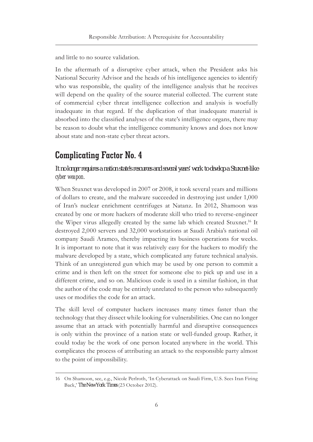and little to no source validation.

In the aftermath of a disruptive cyber attack, when the President asks his National Security Advisor and the heads of his intelligence agencies to identify who was responsible, the quality of the intelligence analysis that he receives will depend on the quality of the source material collected. The current state of commercial cyber threat intelligence collection and analysis is woefully inadequate in that regard. If the duplication of that inadequate material is absorbed into the classified analyses of the state's intelligence organs, there may be reason to doubt what the intelligence community knows and does not know about state and non-state cyber threat actors.

### **Complicating Factor No. 4**

*It no longer requires a nation state's resources and several years' work to develop a Stuxnet-like cyber weapon.*

When Stuxnet was developed in 2007 or 2008, it took several years and millions of dollars to create, and the malware succeeded in destroying just under 1,000 of Iran's nuclear enrichment centrifuges at Natanz. In 2012, Shamoon was created by one or more hackers of moderate skill who tried to reverse-engineer the Wiper virus allegedly created by the same lab which created Stuxnet.<sup>16</sup> It destroyed 2,000 servers and 32,000 workstations at Saudi Arabia's national oil company Saudi Aramco, thereby impacting its business operations for weeks. It is important to note that it was relatively easy for the hackers to modify the malware developed by a state, which complicated any future technical analysis. Think of an unregistered gun which may be used by one person to commit a crime and is then left on the street for someone else to pick up and use in a different crime, and so on. Malicious code is used in a similar fashion, in that the author of the code may be entirely unrelated to the person who subsequently uses or modifies the code for an attack.

The skill level of computer hackers increases many times faster than the technology that they dissect while looking for vulnerabilities. One can no longer assume that an attack with potentially harmful and disruptive consequences is only within the province of a nation state or well-funded group. Rather, it could today be the work of one person located anywhere in the world. This complicates the process of attributing an attack to the responsible party almost to the point of impossibility.

<sup>16</sup> On Shamoon, see, e.g., Nicole Perlroth, 'In Cyberattack on Saudi Firm, U.S. Sees Iran Firing Back,' *The New York Times* (23 October 2012).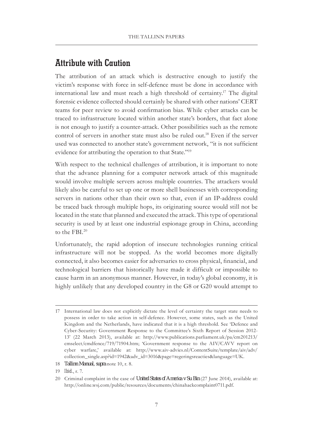#### **Attribute with Caution**

The attribution of an attack which is destructive enough to justify the victim's response with force in self-defence must be done in accordance with international law and must reach a high threshold of certainty.17 The digital forensic evidence collected should certainly be shared with other nations' CERT teams for peer review to avoid confirmation bias. While cyber attacks can be traced to infrastructure located within another state's borders, that fact alone is not enough to justify a counter-attack. Other possibilities such as the remote control of servers in another state must also be ruled out.<sup>18</sup> Even if the server used was connected to another state's government network, "it is not sufficient evidence for attributing the operation to that State."<sup>19</sup>

With respect to the technical challenges of attribution, it is important to note that the advance planning for a computer network attack of this magnitude would involve multiple servers across multiple countries. The attackers would likely also be careful to set up one or more shell businesses with corresponding servers in nations other than their own so that, even if an IP-address could be traced back through multiple hops, its originating source would still not be located in the state that planned and executed the attack. This type of operational security is used by at least one industrial espionage group in China, according to the FBI.20

Unfortunately, the rapid adoption of insecure technologies running critical infrastructure will not be stopped. As the world becomes more digitally connected, it also becomes easier for adversaries to cross physical, financial, and technological barriers that historically have made it difficult or impossible to cause harm in an anonymous manner. However, in today's global economy, it is highly unlikely that any developed country in the G8 or G20 would attempt to

- 18 *Tallinn Manual, supra* note 10, r. 8.
- 19 *Ibid*., r. 7.

<sup>17</sup> International law does not explicitly dictate the level of certainty the target state needs to possess in order to take action in self-defence. However, some states, such as the United Kingdom and the Netherlands, have indicated that it is a high threshold. See 'Defence and Cyber-Security: Government Response to the Committee's Sixth Report of Session 2012- 13' (22 March 2013), available at: [http://www.publications.parliament.uk/pa/cm201213/](http://www.publications.parliament.uk/pa/cm201213/cmselect/cmdfence/719/71904.htm) [cmselect/cmdfence/719/71904.htm](http://www.publications.parliament.uk/pa/cm201213/cmselect/cmdfence/719/71904.htm); 'Government response to the AIV/CAVV report on cyber warfare,' available at: [http://www.aiv-advies.nl/ContentSuite/template/aiv/adv/](http://www.aiv-advies.nl/ContentSuite/template/aiv/adv/collection_single.asp?id=1942&adv_id=3016&page=regeringsreacties&language=UK) [collection\\_single.asp?id=1942&adv\\_id=3016&page=regeringsreacties&language=UK](http://www.aiv-advies.nl/ContentSuite/template/aiv/adv/collection_single.asp?id=1942&adv_id=3016&page=regeringsreacties&language=UK).

<sup>20</sup> Criminal complaint in the case of *United States of America v Su Bin* (27 June 2014), available at: [http://online.wsj.com/public/resources/documents/chinahackcomplaint0711.pdf.](http://online.wsj.com/public/resources/documents/chinahackcomplaint0711.pdf)